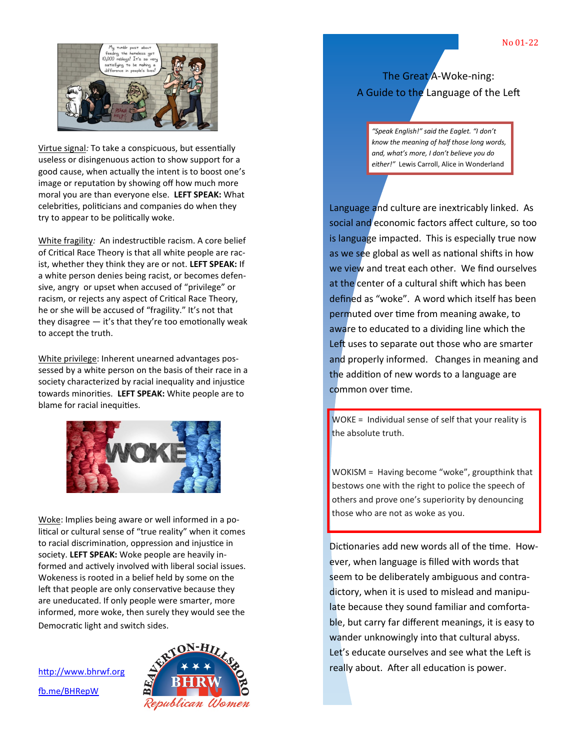

Virtue signal*:* To take a conspicuous, but essentially useless or disingenuous action to show support for a good cause, when actually the intent is to boost one's image or reputation by showing off how much more moral you are than everyone else. **LEFT SPEAK:** What celebrities, politicians and companies do when they try to appear to be politically woke.

White fragility*:* An indestructible racism. A core belief of Critical Race Theory is that all white people are racist, whether they think they are or not. **LEFT SPEAK:** If a white person denies being racist, or becomes defensive, angry or upset when accused of "privilege" or racism, or rejects any aspect of Critical Race Theory, he or she will be accused of "fragility." It's not that they disagree — it's that they're too emotionally weak to accept the truth.

White privilege: Inherent unearned advantages possessed by a white person on the basis of their race in a society characterized by racial inequality and injustice towards minorities. **LEFT SPEAK:** White people are to blame for racial inequities.



Woke: Implies being aware or well informed in a political or cultural sense of "true reality" when it comes to racial discrimination, oppression and injustice in society. **LEFT SPEAK:** Woke people are heavily informed and actively involved with liberal social issues. Wokeness is rooted in a belief held by some on the left that people are only conservative because they are uneducated. If only people were smarter, more informed, more woke, then surely they would see the Democratic light and switch sides.

<http://www.bhrwf.org> [fb.me/BHRepW](http://fb.me/BHRepW)



## The Great A-Woke-ning: A Guide to the Language of the Left

*"Speak English!" said the Eaglet. "I don't know the meaning of half those long words, and, what's more, I don't believe you do either!"* Lewis Carroll, Alice in Wonderland

Language and culture are inextricably linked. As social and economic factors affect culture, so too is language impacted. This is especially true now as we see global as well as national shifts in how we view and treat each other. We find ourselves at the center of a cultural shift which has been defined as "woke". A word which itself has been permuted over time from meaning awake, to aware to educated to a dividing line which the Left uses to separate out those who are smarter and properly informed. Changes in meaning and the addition of new words to a language are common over time.

WOKE = Individual sense of self that your reality is the absolute truth.

WOKISM = Having become "woke", groupthink that bestows one with the right to police the speech of others and prove one's superiority by denouncing those who are not as woke as you.

Dictionaries add new words all of the time. However, when language is filled with words that seem to be deliberately ambiguous and contradictory, when it is used to mislead and manipulate because they sound familiar and comfortable, but carry far different meanings, it is easy to wander unknowingly into that cultural abyss. Let's educate ourselves and see what the Left is really about. After all education is power.